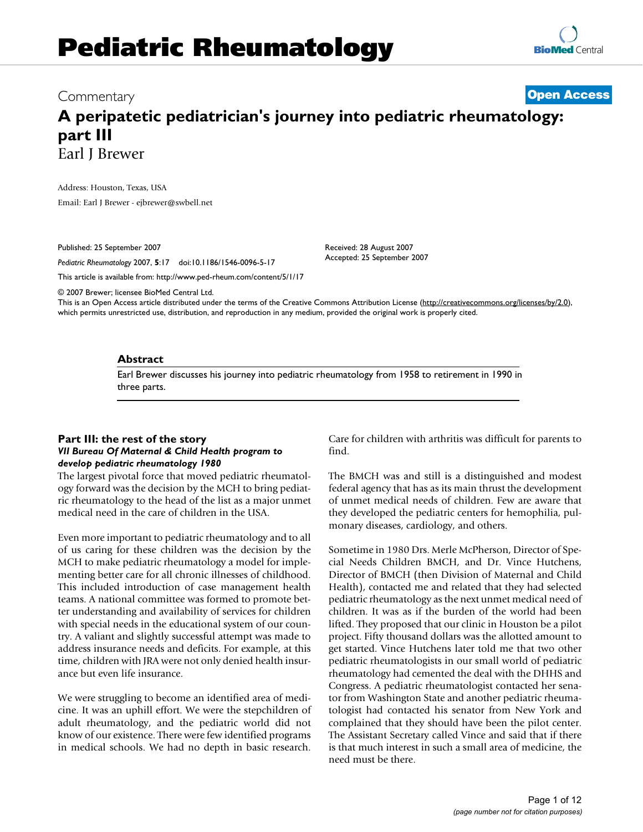# Commentary **[Open Access](http://www.biomedcentral.com/info/about/charter/)**

# **A peripatetic pediatrician's journey into pediatric rheumatology: part III** Earl J Brewer

Address: Houston, Texas, USA Email: Earl J Brewer - ejbrewer@swbell.ne[t](http://www.ncbi.nlm.nih.gov/entrez/query.fcgi?cmd=Retrieve&db=PubMed&dopt=Abstract&list_uids=17894862)

Published: 25 September 2007

*Pediatric Rheumatology* 2007, **5**:17 doi:10.1186/1546-0096-5-17

[This article is available from: http://www.ped-rheum.com/content/5/1/17](http://www.ped-rheum.com/content/5/1/17)

© 2007 Brewer; licensee BioMed Central Ltd.

This is an Open Access article distributed under the terms of the Creative Commons Attribution License [\(http://creativecommons.org/licenses/by/2.0\)](http://creativecommons.org/licenses/by/2.0), which permits unrestricted use, distribution, and reproduction in any medium, provided the original work is properly cited.

Received: 28 August 2007 Accepted: 25 September 2007

#### **Abstract**

Earl Brewer discusses his journey into pediatric rheumatology from 1958 to retirement in 1990 in three parts.

### **Part III: the rest of the story** *VII Bureau Of Maternal & Child Health program to develop pediatric rheumatology 1980*

The largest pivotal force that moved pediatric rheumatology forward was the decision by the MCH to bring pediatric rheumatology to the head of the list as a major unmet medical need in the care of children in the USA.

Even more important to pediatric rheumatology and to all of us caring for these children was the decision by the MCH to make pediatric rheumatology a model for implementing better care for all chronic illnesses of childhood. This included introduction of case management health teams. A national committee was formed to promote better understanding and availability of services for children with special needs in the educational system of our country. A valiant and slightly successful attempt was made to address insurance needs and deficits. For example, at this time, children with JRA were not only denied health insurance but even life insurance.

We were struggling to become an identified area of medicine. It was an uphill effort. We were the stepchildren of adult rheumatology, and the pediatric world did not know of our existence. There were few identified programs in medical schools. We had no depth in basic research. Care for children with arthritis was difficult for parents to find.

The BMCH was and still is a distinguished and modest federal agency that has as its main thrust the development of unmet medical needs of children. Few are aware that they developed the pediatric centers for hemophilia, pulmonary diseases, cardiology, and others.

Sometime in 1980 Drs. Merle McPherson, Director of Special Needs Children BMCH, and Dr. Vince Hutchens, Director of BMCH (then Division of Maternal and Child Health), contacted me and related that they had selected pediatric rheumatology as the next unmet medical need of children. It was as if the burden of the world had been lifted. They proposed that our clinic in Houston be a pilot project. Fifty thousand dollars was the allotted amount to get started. Vince Hutchens later told me that two other pediatric rheumatologists in our small world of pediatric rheumatology had cemented the deal with the DHHS and Congress. A pediatric rheumatologist contacted her senator from Washington State and another pediatric rheumatologist had contacted his senator from New York and complained that they should have been the pilot center. The Assistant Secretary called Vince and said that if there is that much interest in such a small area of medicine, the need must be there.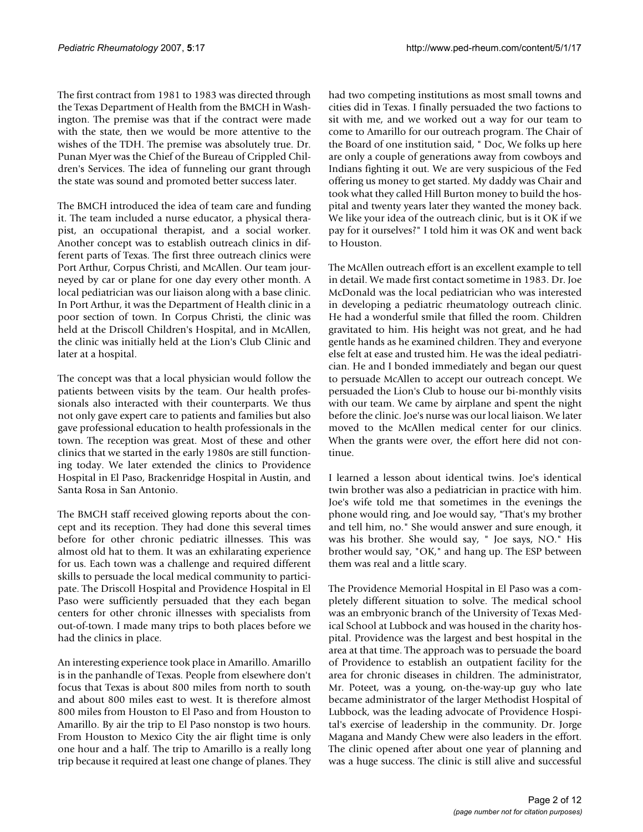The first contract from 1981 to 1983 was directed through the Texas Department of Health from the BMCH in Washington. The premise was that if the contract were made with the state, then we would be more attentive to the wishes of the TDH. The premise was absolutely true. Dr. Punan Myer was the Chief of the Bureau of Crippled Children's Services. The idea of funneling our grant through the state was sound and promoted better success later.

The BMCH introduced the idea of team care and funding it. The team included a nurse educator, a physical therapist, an occupational therapist, and a social worker. Another concept was to establish outreach clinics in different parts of Texas. The first three outreach clinics were Port Arthur, Corpus Christi, and McAllen. Our team journeyed by car or plane for one day every other month. A local pediatrician was our liaison along with a base clinic. In Port Arthur, it was the Department of Health clinic in a poor section of town. In Corpus Christi, the clinic was held at the Driscoll Children's Hospital, and in McAllen, the clinic was initially held at the Lion's Club Clinic and later at a hospital.

The concept was that a local physician would follow the patients between visits by the team. Our health professionals also interacted with their counterparts. We thus not only gave expert care to patients and families but also gave professional education to health professionals in the town. The reception was great. Most of these and other clinics that we started in the early 1980s are still functioning today. We later extended the clinics to Providence Hospital in El Paso, Brackenridge Hospital in Austin, and Santa Rosa in San Antonio.

The BMCH staff received glowing reports about the concept and its reception. They had done this several times before for other chronic pediatric illnesses. This was almost old hat to them. It was an exhilarating experience for us. Each town was a challenge and required different skills to persuade the local medical community to participate. The Driscoll Hospital and Providence Hospital in El Paso were sufficiently persuaded that they each began centers for other chronic illnesses with specialists from out-of-town. I made many trips to both places before we had the clinics in place.

An interesting experience took place in Amarillo. Amarillo is in the panhandle of Texas. People from elsewhere don't focus that Texas is about 800 miles from north to south and about 800 miles east to west. It is therefore almost 800 miles from Houston to El Paso and from Houston to Amarillo. By air the trip to El Paso nonstop is two hours. From Houston to Mexico City the air flight time is only one hour and a half. The trip to Amarillo is a really long trip because it required at least one change of planes. They

had two competing institutions as most small towns and cities did in Texas. I finally persuaded the two factions to sit with me, and we worked out a way for our team to come to Amarillo for our outreach program. The Chair of the Board of one institution said, " Doc, We folks up here are only a couple of generations away from cowboys and Indians fighting it out. We are very suspicious of the Fed offering us money to get started. My daddy was Chair and took what they called Hill Burton money to build the hospital and twenty years later they wanted the money back. We like your idea of the outreach clinic, but is it OK if we pay for it ourselves?" I told him it was OK and went back to Houston.

The McAllen outreach effort is an excellent example to tell in detail. We made first contact sometime in 1983. Dr. Joe McDonald was the local pediatrician who was interested in developing a pediatric rheumatology outreach clinic. He had a wonderful smile that filled the room. Children gravitated to him. His height was not great, and he had gentle hands as he examined children. They and everyone else felt at ease and trusted him. He was the ideal pediatrician. He and I bonded immediately and began our quest to persuade McAllen to accept our outreach concept. We persuaded the Lion's Club to house our bi-monthly visits with our team. We came by airplane and spent the night before the clinic. Joe's nurse was our local liaison. We later moved to the McAllen medical center for our clinics. When the grants were over, the effort here did not continue.

I learned a lesson about identical twins. Joe's identical twin brother was also a pediatrician in practice with him. Joe's wife told me that sometimes in the evenings the phone would ring, and Joe would say, "That's my brother and tell him, no." She would answer and sure enough, it was his brother. She would say, " Joe says, NO." His brother would say, "OK," and hang up. The ESP between them was real and a little scary.

The Providence Memorial Hospital in El Paso was a completely different situation to solve. The medical school was an embryonic branch of the University of Texas Medical School at Lubbock and was housed in the charity hospital. Providence was the largest and best hospital in the area at that time. The approach was to persuade the board of Providence to establish an outpatient facility for the area for chronic diseases in children. The administrator, Mr. Poteet, was a young, on-the-way-up guy who late became administrator of the larger Methodist Hospital of Lubbock, was the leading advocate of Providence Hospital's exercise of leadership in the community. Dr. Jorge Magana and Mandy Chew were also leaders in the effort. The clinic opened after about one year of planning and was a huge success. The clinic is still alive and successful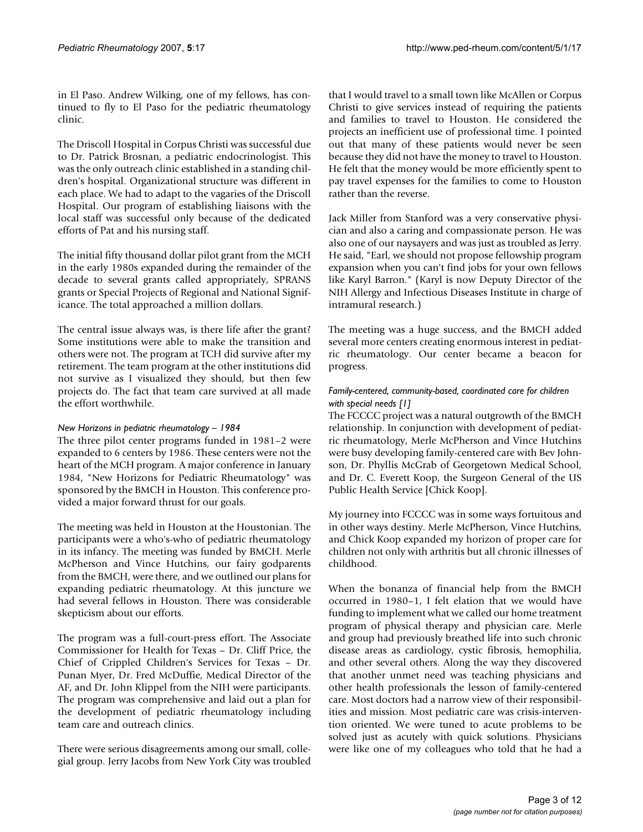in El Paso. Andrew Wilking, one of my fellows, has continued to fly to El Paso for the pediatric rheumatology clinic.

The Driscoll Hospital in Corpus Christi was successful due to Dr. Patrick Brosnan, a pediatric endocrinologist. This was the only outreach clinic established in a standing children's hospital. Organizational structure was different in each place. We had to adapt to the vagaries of the Driscoll Hospital. Our program of establishing liaisons with the local staff was successful only because of the dedicated efforts of Pat and his nursing staff.

The initial fifty thousand dollar pilot grant from the MCH in the early 1980s expanded during the remainder of the decade to several grants called appropriately, SPRANS grants or Special Projects of Regional and National Significance. The total approached a million dollars.

The central issue always was, is there life after the grant? Some institutions were able to make the transition and others were not. The program at TCH did survive after my retirement. The team program at the other institutions did not survive as I visualized they should, but then few projects do. The fact that team care survived at all made the effort worthwhile.

### *New Horizons in pediatric rheumatology – 1984*

The three pilot center programs funded in 1981–2 were expanded to 6 centers by 1986. These centers were not the heart of the MCH program. A major conference in January 1984, "New Horizons for Pediatric Rheumatology" was sponsored by the BMCH in Houston. This conference provided a major forward thrust for our goals.

The meeting was held in Houston at the Houstonian. The participants were a who's-who of pediatric rheumatology in its infancy. The meeting was funded by BMCH. Merle McPherson and Vince Hutchins, our fairy godparents from the BMCH, were there, and we outlined our plans for expanding pediatric rheumatology. At this juncture we had several fellows in Houston. There was considerable skepticism about our efforts.

The program was a full-court-press effort. The Associate Commissioner for Health for Texas – Dr. Cliff Price, the Chief of Crippled Children's Services for Texas – Dr. Punan Myer, Dr. Fred McDuffie, Medical Director of the AF, and Dr. John Klippel from the NIH were participants. The program was comprehensive and laid out a plan for the development of pediatric rheumatology including team care and outreach clinics.

There were serious disagreements among our small, collegial group. Jerry Jacobs from New York City was troubled that I would travel to a small town like McAllen or Corpus Christi to give services instead of requiring the patients and families to travel to Houston. He considered the projects an inefficient use of professional time. I pointed out that many of these patients would never be seen because they did not have the money to travel to Houston. He felt that the money would be more efficiently spent to pay travel expenses for the families to come to Houston rather than the reverse.

Jack Miller from Stanford was a very conservative physician and also a caring and compassionate person. He was also one of our naysayers and was just as troubled as Jerry. He said, "Earl, we should not propose fellowship program expansion when you can't find jobs for your own fellows like Karyl Barron." (Karyl is now Deputy Director of the NIH Allergy and Infectious Diseases Institute in charge of intramural research.)

The meeting was a huge success, and the BMCH added several more centers creating enormous interest in pediatric rheumatology. Our center became a beacon for progress.

# *Family-centered, community-based, coordinated care for children with special needs [1]*

The FCCCC project was a natural outgrowth of the BMCH relationship. In conjunction with development of pediatric rheumatology, Merle McPherson and Vince Hutchins were busy developing family-centered care with Bev Johnson, Dr. Phyllis McGrab of Georgetown Medical School, and Dr. C. Everett Koop, the Surgeon General of the US Public Health Service [Chick Koop].

My journey into FCCCC was in some ways fortuitous and in other ways destiny. Merle McPherson, Vince Hutchins, and Chick Koop expanded my horizon of proper care for children not only with arthritis but all chronic illnesses of childhood.

When the bonanza of financial help from the BMCH occurred in 1980–1, I felt elation that we would have funding to implement what we called our home treatment program of physical therapy and physician care. Merle and group had previously breathed life into such chronic disease areas as cardiology, cystic fibrosis, hemophilia, and other several others. Along the way they discovered that another unmet need was teaching physicians and other health professionals the lesson of family-centered care. Most doctors had a narrow view of their responsibilities and mission. Most pediatric care was crisis-intervention oriented. We were tuned to acute problems to be solved just as acutely with quick solutions. Physicians were like one of my colleagues who told that he had a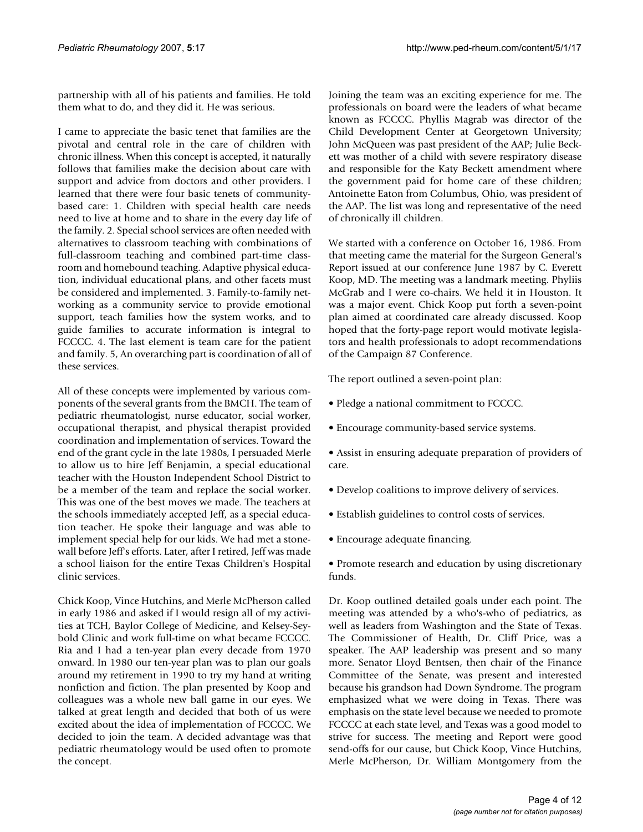partnership with all of his patients and families. He told them what to do, and they did it. He was serious.

I came to appreciate the basic tenet that families are the pivotal and central role in the care of children with chronic illness. When this concept is accepted, it naturally follows that families make the decision about care with support and advice from doctors and other providers. I learned that there were four basic tenets of communitybased care: 1. Children with special health care needs need to live at home and to share in the every day life of the family. 2. Special school services are often needed with alternatives to classroom teaching with combinations of full-classroom teaching and combined part-time classroom and homebound teaching. Adaptive physical education, individual educational plans, and other facets must be considered and implemented. 3. Family-to-family networking as a community service to provide emotional support, teach families how the system works, and to guide families to accurate information is integral to FCCCC. 4. The last element is team care for the patient and family. 5, An overarching part is coordination of all of these services.

All of these concepts were implemented by various components of the several grants from the BMCH. The team of pediatric rheumatologist, nurse educator, social worker, occupational therapist, and physical therapist provided coordination and implementation of services. Toward the end of the grant cycle in the late 1980s, I persuaded Merle to allow us to hire Jeff Benjamin, a special educational teacher with the Houston Independent School District to be a member of the team and replace the social worker. This was one of the best moves we made. The teachers at the schools immediately accepted Jeff, as a special education teacher. He spoke their language and was able to implement special help for our kids. We had met a stonewall before Jeff's efforts. Later, after I retired, Jeff was made a school liaison for the entire Texas Children's Hospital clinic services.

Chick Koop, Vince Hutchins, and Merle McPherson called in early 1986 and asked if I would resign all of my activities at TCH, Baylor College of Medicine, and Kelsey-Seybold Clinic and work full-time on what became FCCCC. Ria and I had a ten-year plan every decade from 1970 onward. In 1980 our ten-year plan was to plan our goals around my retirement in 1990 to try my hand at writing nonfiction and fiction. The plan presented by Koop and colleagues was a whole new ball game in our eyes. We talked at great length and decided that both of us were excited about the idea of implementation of FCCCC. We decided to join the team. A decided advantage was that pediatric rheumatology would be used often to promote the concept.

Joining the team was an exciting experience for me. The professionals on board were the leaders of what became known as FCCCC. Phyllis Magrab was director of the Child Development Center at Georgetown University; John McQueen was past president of the AAP; Julie Beckett was mother of a child with severe respiratory disease and responsible for the Katy Beckett amendment where the government paid for home care of these children; Antoinette Eaton from Columbus, Ohio, was president of the AAP. The list was long and representative of the need of chronically ill children.

We started with a conference on October 16, 1986. From that meeting came the material for the Surgeon General's Report issued at our conference June 1987 by C. Everett Koop, MD. The meeting was a landmark meeting. Phyliis McGrab and I were co-chairs. We held it in Houston. It was a major event. Chick Koop put forth a seven-point plan aimed at coordinated care already discussed. Koop hoped that the forty-page report would motivate legislators and health professionals to adopt recommendations of the Campaign 87 Conference.

The report outlined a seven-point plan:

- Pledge a national commitment to FCCCC.
- Encourage community-based service systems.
- Assist in ensuring adequate preparation of providers of care.
- Develop coalitions to improve delivery of services.
- Establish guidelines to control costs of services.
- Encourage adequate financing.
- Promote research and education by using discretionary funds.

Dr. Koop outlined detailed goals under each point. The meeting was attended by a who's-who of pediatrics, as well as leaders from Washington and the State of Texas. The Commissioner of Health, Dr. Cliff Price, was a speaker. The AAP leadership was present and so many more. Senator Lloyd Bentsen, then chair of the Finance Committee of the Senate, was present and interested because his grandson had Down Syndrome. The program emphasized what we were doing in Texas. There was emphasis on the state level because we needed to promote FCCCC at each state level, and Texas was a good model to strive for success. The meeting and Report were good send-offs for our cause, but Chick Koop, Vince Hutchins, Merle McPherson, Dr. William Montgomery from the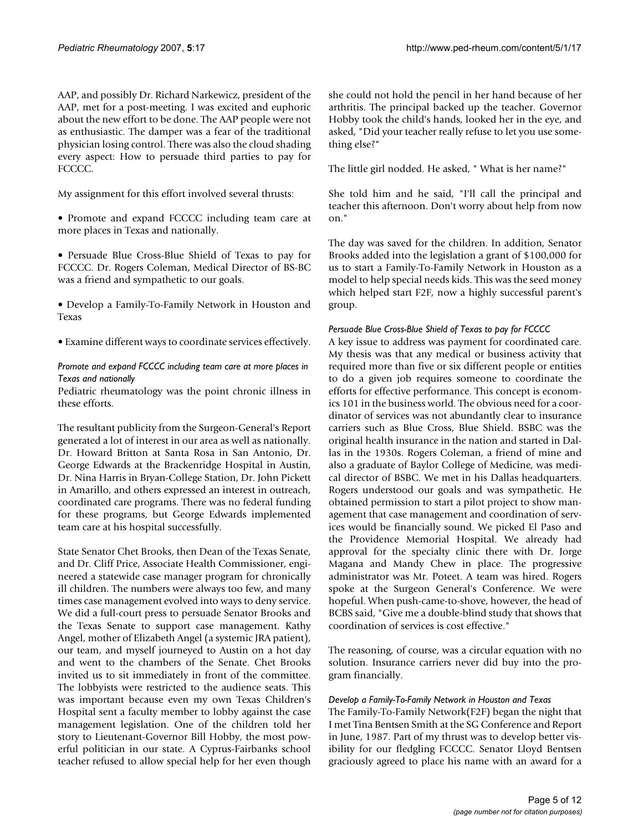AAP, and possibly Dr. Richard Narkewicz, president of the AAP, met for a post-meeting. I was excited and euphoric about the new effort to be done. The AAP people were not as enthusiastic. The damper was a fear of the traditional physician losing control. There was also the cloud shading every aspect: How to persuade third parties to pay for FCCCC.

My assignment for this effort involved several thrusts:

- Promote and expand FCCCC including team care at more places in Texas and nationally.
- Persuade Blue Cross-Blue Shield of Texas to pay for FCCCC. Dr. Rogers Coleman, Medical Director of BS-BC was a friend and sympathetic to our goals.
- Develop a Family-To-Family Network in Houston and Texas
- Examine different ways to coordinate services effectively.

#### *Promote and expand FCCCC including team care at more places in Texas and nationally*

Pediatric rheumatology was the point chronic illness in these efforts.

The resultant publicity from the Surgeon-General's Report generated a lot of interest in our area as well as nationally. Dr. Howard Britton at Santa Rosa in San Antonio, Dr. George Edwards at the Brackenridge Hospital in Austin, Dr. Nina Harris in Bryan-College Station, Dr. John Pickett in Amarillo, and others expressed an interest in outreach, coordinated care programs. There was no federal funding for these programs, but George Edwards implemented team care at his hospital successfully.

State Senator Chet Brooks, then Dean of the Texas Senate, and Dr. Cliff Price, Associate Health Commissioner, engineered a statewide case manager program for chronically ill children. The numbers were always too few, and many times case management evolved into ways to deny service. We did a full-court press to persuade Senator Brooks and the Texas Senate to support case management. Kathy Angel, mother of Elizabeth Angel (a systemic JRA patient), our team, and myself journeyed to Austin on a hot day and went to the chambers of the Senate. Chet Brooks invited us to sit immediately in front of the committee. The lobbyists were restricted to the audience seats. This was important because even my own Texas Children's Hospital sent a faculty member to lobby against the case management legislation. One of the children told her story to Lieutenant-Governor Bill Hobby, the most powerful politician in our state. A Cyprus-Fairbanks school teacher refused to allow special help for her even though

she could not hold the pencil in her hand because of her arthritis. The principal backed up the teacher. Governor Hobby took the child's hands, looked her in the eye, and asked, "Did your teacher really refuse to let you use something else?"

The little girl nodded. He asked, " What is her name?"

She told him and he said, "I'll call the principal and teacher this afternoon. Don't worry about help from now on."

The day was saved for the children. In addition, Senator Brooks added into the legislation a grant of \$100,000 for us to start a Family-To-Family Network in Houston as a model to help special needs kids. This was the seed money which helped start F2F, now a highly successful parent's group.

## *Persuade Blue Cross-Blue Shield of Texas to pay for FCCCC*

A key issue to address was payment for coordinated care. My thesis was that any medical or business activity that required more than five or six different people or entities to do a given job requires someone to coordinate the efforts for effective performance. This concept is economics 101 in the business world. The obvious need for a coordinator of services was not abundantly clear to insurance carriers such as Blue Cross, Blue Shield. BSBC was the original health insurance in the nation and started in Dallas in the 1930s. Rogers Coleman, a friend of mine and also a graduate of Baylor College of Medicine, was medical director of BSBC. We met in his Dallas headquarters. Rogers understood our goals and was sympathetic. He obtained permission to start a pilot project to show management that case management and coordination of services would be financially sound. We picked El Paso and the Providence Memorial Hospital. We already had approval for the specialty clinic there with Dr. Jorge Magana and Mandy Chew in place. The progressive administrator was Mr. Poteet. A team was hired. Rogers spoke at the Surgeon General's Conference. We were hopeful. When push-came-to-shove, however, the head of BCBS said, "Give me a double-blind study that shows that coordination of services is cost effective."

The reasoning, of course, was a circular equation with no solution. Insurance carriers never did buy into the program financially.

# *Develop a Family-To-Family Network in Houston and Texas*

The Family-To-Family Network(F2F) began the night that I met Tina Bentsen Smith at the SG Conference and Report in June, 1987. Part of my thrust was to develop better visibility for our fledgling FCCCC. Senator Lloyd Bentsen graciously agreed to place his name with an award for a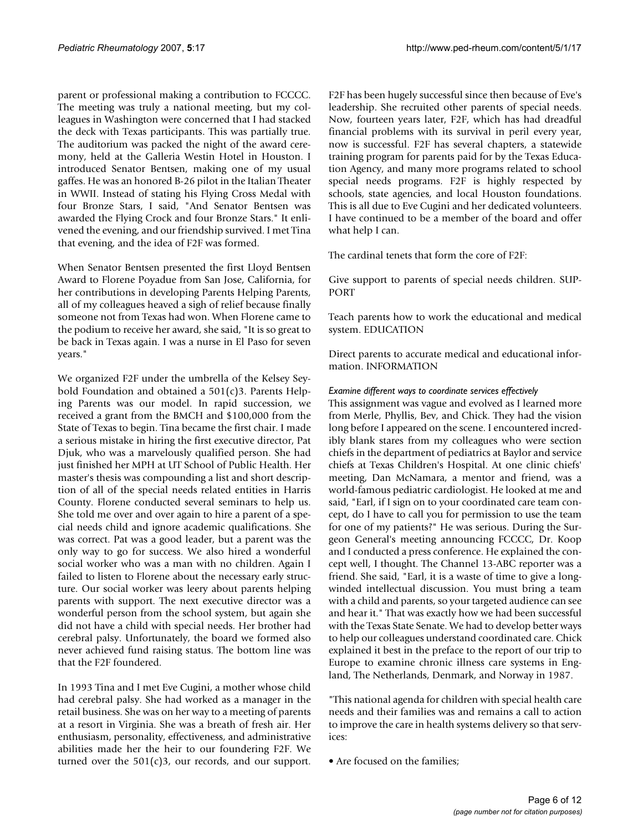parent or professional making a contribution to FCCCC. The meeting was truly a national meeting, but my colleagues in Washington were concerned that I had stacked the deck with Texas participants. This was partially true. The auditorium was packed the night of the award ceremony, held at the Galleria Westin Hotel in Houston. I introduced Senator Bentsen, making one of my usual gaffes. He was an honored B-26 pilot in the Italian Theater in WWII. Instead of stating his Flying Cross Medal with four Bronze Stars, I said, "And Senator Bentsen was awarded the Flying Crock and four Bronze Stars." It enlivened the evening, and our friendship survived. I met Tina that evening, and the idea of F2F was formed.

When Senator Bentsen presented the first Lloyd Bentsen Award to Florene Poyadue from San Jose, California, for her contributions in developing Parents Helping Parents, all of my colleagues heaved a sigh of relief because finally someone not from Texas had won. When Florene came to the podium to receive her award, she said, "It is so great to be back in Texas again. I was a nurse in El Paso for seven years."

We organized F2F under the umbrella of the Kelsey Seybold Foundation and obtained a 501(c)3. Parents Helping Parents was our model. In rapid succession, we received a grant from the BMCH and \$100,000 from the State of Texas to begin. Tina became the first chair. I made a serious mistake in hiring the first executive director, Pat Djuk, who was a marvelously qualified person. She had just finished her MPH at UT School of Public Health. Her master's thesis was compounding a list and short description of all of the special needs related entities in Harris County. Florene conducted several seminars to help us. She told me over and over again to hire a parent of a special needs child and ignore academic qualifications. She was correct. Pat was a good leader, but a parent was the only way to go for success. We also hired a wonderful social worker who was a man with no children. Again I failed to listen to Florene about the necessary early structure. Our social worker was leery about parents helping parents with support. The next executive director was a wonderful person from the school system, but again she did not have a child with special needs. Her brother had cerebral palsy. Unfortunately, the board we formed also never achieved fund raising status. The bottom line was that the F2F foundered.

In 1993 Tina and I met Eve Cugini, a mother whose child had cerebral palsy. She had worked as a manager in the retail business. She was on her way to a meeting of parents at a resort in Virginia. She was a breath of fresh air. Her enthusiasm, personality, effectiveness, and administrative abilities made her the heir to our foundering F2F. We turned over the  $501(c)3$ , our records, and our support.

F2F has been hugely successful since then because of Eve's leadership. She recruited other parents of special needs. Now, fourteen years later, F2F, which has had dreadful financial problems with its survival in peril every year, now is successful. F2F has several chapters, a statewide training program for parents paid for by the Texas Education Agency, and many more programs related to school special needs programs. F2F is highly respected by schools, state agencies, and local Houston foundations. This is all due to Eve Cugini and her dedicated volunteers. I have continued to be a member of the board and offer what help I can.

The cardinal tenets that form the core of F2F:

Give support to parents of special needs children. SUP-PORT

Teach parents how to work the educational and medical system. EDUCATION

Direct parents to accurate medical and educational information. INFORMATION

### *Examine different ways to coordinate services effectively*

This assignment was vague and evolved as I learned more from Merle, Phyllis, Bev, and Chick. They had the vision long before I appeared on the scene. I encountered incredibly blank stares from my colleagues who were section chiefs in the department of pediatrics at Baylor and service chiefs at Texas Children's Hospital. At one clinic chiefs' meeting, Dan McNamara, a mentor and friend, was a world-famous pediatric cardiologist. He looked at me and said, "Earl, if I sign on to your coordinated care team concept, do I have to call you for permission to use the team for one of my patients?" He was serious. During the Surgeon General's meeting announcing FCCCC, Dr. Koop and I conducted a press conference. He explained the concept well, I thought. The Channel 13-ABC reporter was a friend. She said, "Earl, it is a waste of time to give a longwinded intellectual discussion. You must bring a team with a child and parents, so your targeted audience can see and hear it." That was exactly how we had been successful with the Texas State Senate. We had to develop better ways to help our colleagues understand coordinated care. Chick explained it best in the preface to the report of our trip to Europe to examine chronic illness care systems in England, The Netherlands, Denmark, and Norway in 1987.

"This national agenda for children with special health care needs and their families was and remains a call to action to improve the care in health systems delivery so that services:

• Are focused on the families;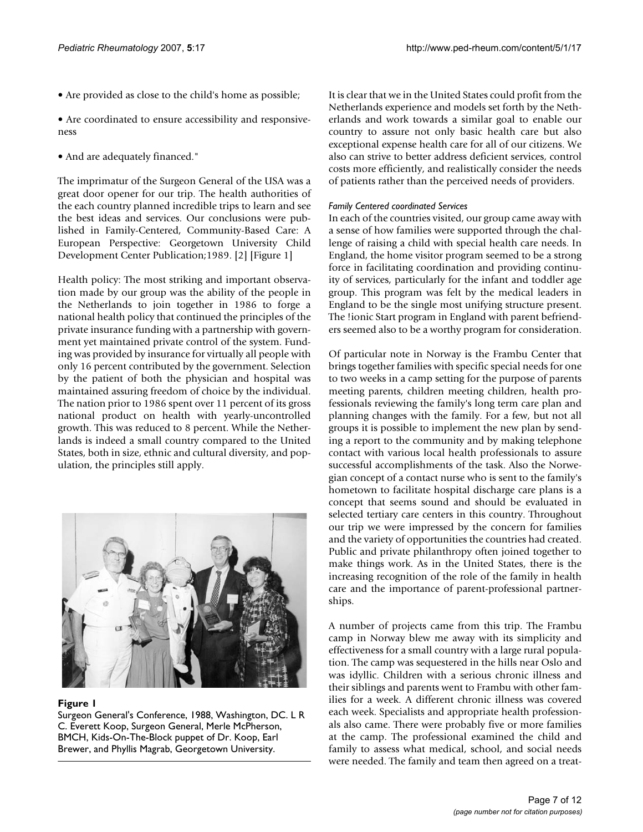- Are provided as close to the child's home as possible;
- Are coordinated to ensure accessibility and responsiveness
- And are adequately financed."

The imprimatur of the Surgeon General of the USA was a great door opener for our trip. The health authorities of the each country planned incredible trips to learn and see the best ideas and services. Our conclusions were published in Family-Centered, Community-Based Care: A European Perspective: Georgetown University Child Development Center Publication;1989. [2] [Figure 1]

Health policy: The most striking and important observation made by our group was the ability of the people in the Netherlands to join together in 1986 to forge a national health policy that continued the principles of the private insurance funding with a partnership with government yet maintained private control of the system. Funding was provided by insurance for virtually all people with only 16 percent contributed by the government. Selection by the patient of both the physician and hospital was maintained assuring freedom of choice by the individual. The nation prior to 1986 spent over 11 percent of its gross national product on health with yearly-uncontrolled growth. This was reduced to 8 percent. While the Netherlands is indeed a small country compared to the United States, both in size, ethnic and cultural diversity, and population, the principles still apply.



### **Figure 1**

Surgeon General's Conference, 1988, Washington, DC. L R C. Everett Koop, Surgeon General, Merle McPherson, BMCH, Kids-On-The-Block puppet of Dr. Koop, Earl Brewer, and Phyllis Magrab, Georgetown University.

It is clear that we in the United States could profit from the Netherlands experience and models set forth by the Netherlands and work towards a similar goal to enable our country to assure not only basic health care but also exceptional expense health care for all of our citizens. We also can strive to better address deficient services, control costs more efficiently, and realistically consider the needs of patients rather than the perceived needs of providers.

### *Family Centered coordinated Services*

In each of the countries visited, our group came away with a sense of how families were supported through the challenge of raising a child with special health care needs. In England, the home visitor program seemed to be a strong force in facilitating coordination and providing continuity of services, particularly for the infant and toddler age group. This program was felt by the medical leaders in England to be the single most unifying structure present. The !ionic Start program in England with parent befrienders seemed also to be a worthy program for consideration.

Of particular note in Norway is the Frambu Center that brings together families with specific special needs for one to two weeks in a camp setting for the purpose of parents meeting parents, children meeting children, health professionals reviewing the family's long term care plan and planning changes with the family. For a few, but not all groups it is possible to implement the new plan by sending a report to the community and by making telephone contact with various local health professionals to assure successful accomplishments of the task. Also the Norwegian concept of a contact nurse who is sent to the family's hometown to facilitate hospital discharge care plans is a concept that seems sound and should be evaluated in selected tertiary care centers in this country. Throughout our trip we were impressed by the concern for families and the variety of opportunities the countries had created. Public and private philanthropy often joined together to make things work. As in the United States, there is the increasing recognition of the role of the family in health care and the importance of parent-professional partnerships.

A number of projects came from this trip. The Frambu camp in Norway blew me away with its simplicity and effectiveness for a small country with a large rural population. The camp was sequestered in the hills near Oslo and was idyllic. Children with a serious chronic illness and their siblings and parents went to Frambu with other families for a week. A different chronic illness was covered each week. Specialists and appropriate health professionals also came. There were probably five or more families at the camp. The professional examined the child and family to assess what medical, school, and social needs were needed. The family and team then agreed on a treat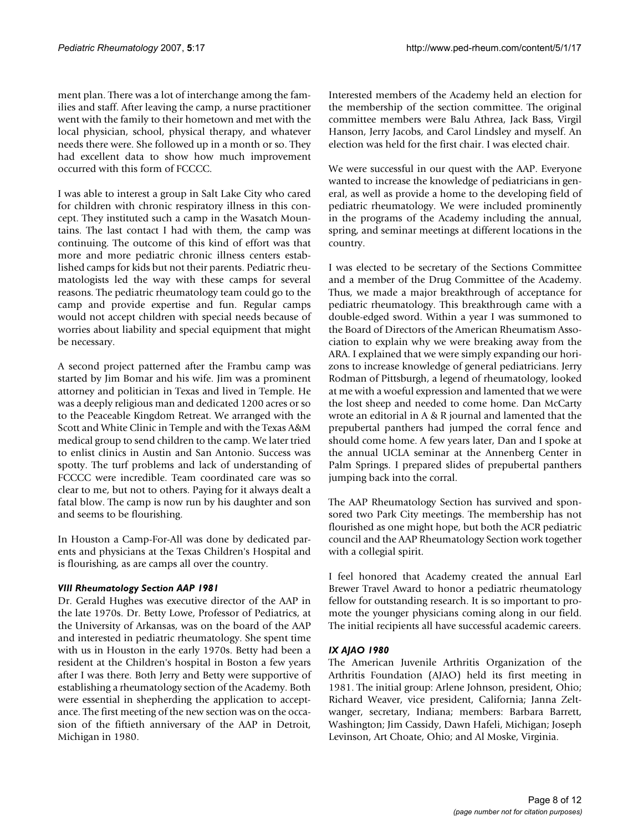ment plan. There was a lot of interchange among the families and staff. After leaving the camp, a nurse practitioner went with the family to their hometown and met with the local physician, school, physical therapy, and whatever needs there were. She followed up in a month or so. They had excellent data to show how much improvement occurred with this form of FCCCC.

I was able to interest a group in Salt Lake City who cared for children with chronic respiratory illness in this concept. They instituted such a camp in the Wasatch Mountains. The last contact I had with them, the camp was continuing. The outcome of this kind of effort was that more and more pediatric chronic illness centers established camps for kids but not their parents. Pediatric rheumatologists led the way with these camps for several reasons. The pediatric rheumatology team could go to the camp and provide expertise and fun. Regular camps would not accept children with special needs because of worries about liability and special equipment that might be necessary.

A second project patterned after the Frambu camp was started by Jim Bomar and his wife. Jim was a prominent attorney and politician in Texas and lived in Temple. He was a deeply religious man and dedicated 1200 acres or so to the Peaceable Kingdom Retreat. We arranged with the Scott and White Clinic in Temple and with the Texas A&M medical group to send children to the camp. We later tried to enlist clinics in Austin and San Antonio. Success was spotty. The turf problems and lack of understanding of FCCCC were incredible. Team coordinated care was so clear to me, but not to others. Paying for it always dealt a fatal blow. The camp is now run by his daughter and son and seems to be flourishing.

In Houston a Camp-For-All was done by dedicated parents and physicians at the Texas Children's Hospital and is flourishing, as are camps all over the country.

### *VIII Rheumatology Section AAP 1981*

Dr. Gerald Hughes was executive director of the AAP in the late 1970s. Dr. Betty Lowe, Professor of Pediatrics, at the University of Arkansas, was on the board of the AAP and interested in pediatric rheumatology. She spent time with us in Houston in the early 1970s. Betty had been a resident at the Children's hospital in Boston a few years after I was there. Both Jerry and Betty were supportive of establishing a rheumatology section of the Academy. Both were essential in shepherding the application to acceptance. The first meeting of the new section was on the occasion of the fiftieth anniversary of the AAP in Detroit, Michigan in 1980.

Interested members of the Academy held an election for the membership of the section committee. The original committee members were Balu Athrea, Jack Bass, Virgil Hanson, Jerry Jacobs, and Carol Lindsley and myself. An election was held for the first chair. I was elected chair.

We were successful in our quest with the AAP. Everyone wanted to increase the knowledge of pediatricians in general, as well as provide a home to the developing field of pediatric rheumatology. We were included prominently in the programs of the Academy including the annual, spring, and seminar meetings at different locations in the country.

I was elected to be secretary of the Sections Committee and a member of the Drug Committee of the Academy. Thus, we made a major breakthrough of acceptance for pediatric rheumatology. This breakthrough came with a double-edged sword. Within a year I was summoned to the Board of Directors of the American Rheumatism Association to explain why we were breaking away from the ARA. I explained that we were simply expanding our horizons to increase knowledge of general pediatricians. Jerry Rodman of Pittsburgh, a legend of rheumatology, looked at me with a woeful expression and lamented that we were the lost sheep and needed to come home. Dan McCarty wrote an editorial in A & R journal and lamented that the prepubertal panthers had jumped the corral fence and should come home. A few years later, Dan and I spoke at the annual UCLA seminar at the Annenberg Center in Palm Springs. I prepared slides of prepubertal panthers jumping back into the corral.

The AAP Rheumatology Section has survived and sponsored two Park City meetings. The membership has not flourished as one might hope, but both the ACR pediatric council and the AAP Rheumatology Section work together with a collegial spirit.

I feel honored that Academy created the annual Earl Brewer Travel Award to honor a pediatric rheumatology fellow for outstanding research. It is so important to promote the younger physicians coming along in our field. The initial recipients all have successful academic careers.

#### *IX AJAO 1980*

The American Juvenile Arthritis Organization of the Arthritis Foundation (AJAO) held its first meeting in 1981. The initial group: Arlene Johnson, president, Ohio; Richard Weaver, vice president, California; Janna Zeltwanger, secretary, Indiana; members: Barbara Barrett, Washington; Jim Cassidy, Dawn Hafeli, Michigan; Joseph Levinson, Art Choate, Ohio; and Al Moske, Virginia.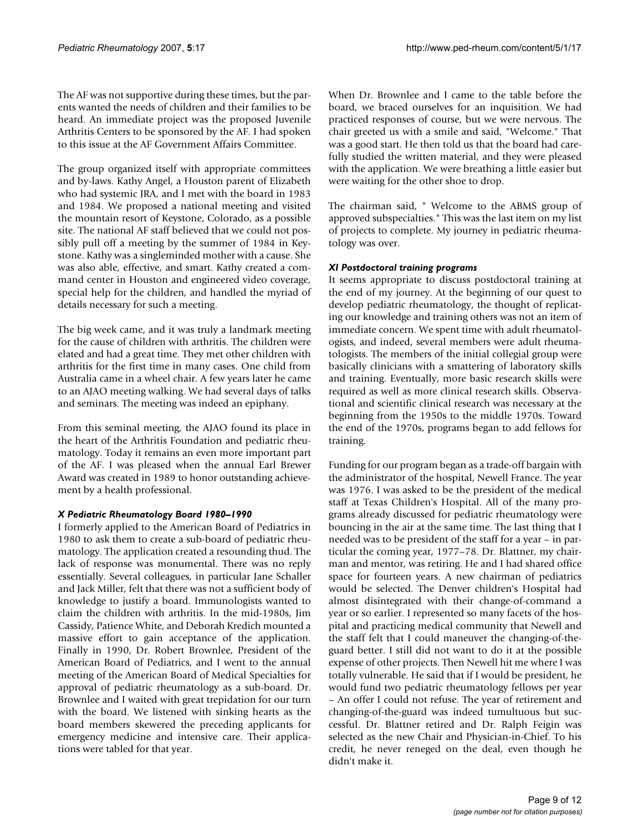The AF was not supportive during these times, but the parents wanted the needs of children and their families to be heard. An immediate project was the proposed Juvenile Arthritis Centers to be sponsored by the AF. I had spoken to this issue at the AF Government Affairs Committee.

The group organized itself with appropriate committees and by-laws. Kathy Angel, a Houston parent of Elizabeth who had systemic JRA, and I met with the board in 1983 and 1984. We proposed a national meeting and visited the mountain resort of Keystone, Colorado, as a possible site. The national AF staff believed that we could not possibly pull off a meeting by the summer of 1984 in Keystone. Kathy was a singleminded mother with a cause. She was also able, effective, and smart. Kathy created a command center in Houston and engineered video coverage, special help for the children, and handled the myriad of details necessary for such a meeting.

The big week came, and it was truly a landmark meeting for the cause of children with arthritis. The children were elated and had a great time. They met other children with arthritis for the first time in many cases. One child from Australia came in a wheel chair. A few years later he came to an AJAO meeting walking. We had several days of talks and seminars. The meeting was indeed an epiphany.

From this seminal meeting, the AJAO found its place in the heart of the Arthritis Foundation and pediatric rheumatology. Today it remains an even more important part of the AF. I was pleased when the annual Earl Brewer Award was created in 1989 to honor outstanding achievement by a health professional.

### *X Pediatric Rheumatology Board 1980–1990*

I formerly applied to the American Board of Pediatrics in 1980 to ask them to create a sub-board of pediatric rheumatology. The application created a resounding thud. The lack of response was monumental. There was no reply essentially. Several colleagues, in particular Jane Schaller and Jack Miller, felt that there was not a sufficient body of knowledge to justify a board. Immunologists wanted to claim the children with arthritis. In the mid-1980s, Jim Cassidy, Patience White, and Deborah Kredich mounted a massive effort to gain acceptance of the application. Finally in 1990, Dr. Robert Brownlee, President of the American Board of Pediatrics, and I went to the annual meeting of the American Board of Medical Specialties for approval of pediatric rheumatology as a sub-board. Dr. Brownlee and I waited with great trepidation for our turn with the board. We listened with sinking hearts as the board members skewered the preceding applicants for emergency medicine and intensive care. Their applications were tabled for that year.

When Dr. Brownlee and I came to the table before the board, we braced ourselves for an inquisition. We had practiced responses of course, but we were nervous. The chair greeted us with a smile and said, "Welcome." That was a good start. He then told us that the board had carefully studied the written material, and they were pleased with the application. We were breathing a little easier but were waiting for the other shoe to drop.

The chairman said, " Welcome to the ABMS group of approved subspecialties." This was the last item on my list of projects to complete. My journey in pediatric rheumatology was over.

#### *XI Postdoctoral training programs*

It seems appropriate to discuss postdoctoral training at the end of my journey. At the beginning of our quest to develop pediatric rheumatology, the thought of replicating our knowledge and training others was not an item of immediate concern. We spent time with adult rheumatologists, and indeed, several members were adult rheumatologists. The members of the initial collegial group were basically clinicians with a smattering of laboratory skills and training. Eventually, more basic research skills were required as well as more clinical research skills. Observational and scientific clinical research was necessary at the beginning from the 1950s to the middle 1970s. Toward the end of the 1970s, programs began to add fellows for training.

Funding for our program began as a trade-off bargain with the administrator of the hospital, Newell France. The year was 1976. I was asked to be the president of the medical staff at Texas Children's Hospital. All of the many programs already discussed for pediatric rheumatology were bouncing in the air at the same time. The last thing that I needed was to be president of the staff for a year – in particular the coming year, 1977–78. Dr. Blattner, my chairman and mentor, was retiring. He and I had shared office space for fourteen years. A new chairman of pediatrics would be selected. The Denver children's Hospital had almost disintegrated with their change-of-command a year or so earlier. I represented so many facets of the hospital and practicing medical community that Newell and the staff felt that I could maneuver the changing-of-theguard better. I still did not want to do it at the possible expense of other projects. Then Newell hit me where I was totally vulnerable. He said that if I would be president, he would fund two pediatric rheumatology fellows per year – An offer I could not refuse. The year of retirement and changing-of-the-guard was indeed tumultuous but successful. Dr. Blattner retired and Dr. Ralph Feigin was selected as the new Chair and Physician-in-Chief. To his credit, he never reneged on the deal, even though he didn't make it.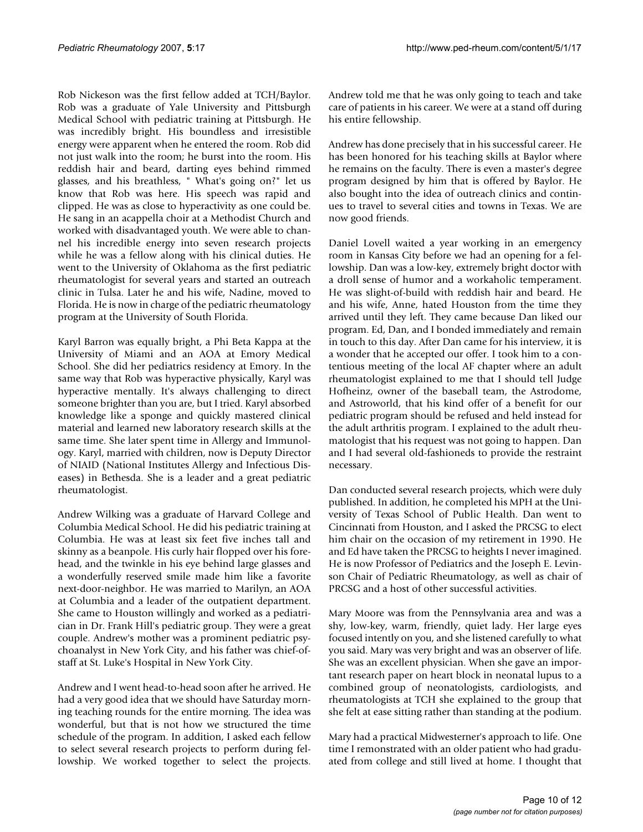Rob Nickeson was the first fellow added at TCH/Baylor. Rob was a graduate of Yale University and Pittsburgh Medical School with pediatric training at Pittsburgh. He was incredibly bright. His boundless and irresistible energy were apparent when he entered the room. Rob did not just walk into the room; he burst into the room. His reddish hair and beard, darting eyes behind rimmed glasses, and his breathless, " What's going on?" let us know that Rob was here. His speech was rapid and clipped. He was as close to hyperactivity as one could be. He sang in an acappella choir at a Methodist Church and worked with disadvantaged youth. We were able to channel his incredible energy into seven research projects while he was a fellow along with his clinical duties. He went to the University of Oklahoma as the first pediatric rheumatologist for several years and started an outreach clinic in Tulsa. Later he and his wife, Nadine, moved to Florida. He is now in charge of the pediatric rheumatology program at the University of South Florida.

Karyl Barron was equally bright, a Phi Beta Kappa at the University of Miami and an AOA at Emory Medical School. She did her pediatrics residency at Emory. In the same way that Rob was hyperactive physically, Karyl was hyperactive mentally. It's always challenging to direct someone brighter than you are, but I tried. Karyl absorbed knowledge like a sponge and quickly mastered clinical material and learned new laboratory research skills at the same time. She later spent time in Allergy and Immunology. Karyl, married with children, now is Deputy Director of NIAID (National Institutes Allergy and Infectious Diseases) in Bethesda. She is a leader and a great pediatric rheumatologist.

Andrew Wilking was a graduate of Harvard College and Columbia Medical School. He did his pediatric training at Columbia. He was at least six feet five inches tall and skinny as a beanpole. His curly hair flopped over his forehead, and the twinkle in his eye behind large glasses and a wonderfully reserved smile made him like a favorite next-door-neighbor. He was married to Marilyn, an AOA at Columbia and a leader of the outpatient department. She came to Houston willingly and worked as a pediatrician in Dr. Frank Hill's pediatric group. They were a great couple. Andrew's mother was a prominent pediatric psychoanalyst in New York City, and his father was chief-ofstaff at St. Luke's Hospital in New York City.

Andrew and I went head-to-head soon after he arrived. He had a very good idea that we should have Saturday morning teaching rounds for the entire morning. The idea was wonderful, but that is not how we structured the time schedule of the program. In addition, I asked each fellow to select several research projects to perform during fellowship. We worked together to select the projects.

Andrew told me that he was only going to teach and take care of patients in his career. We were at a stand off during his entire fellowship.

Andrew has done precisely that in his successful career. He has been honored for his teaching skills at Baylor where he remains on the faculty. There is even a master's degree program designed by him that is offered by Baylor. He also bought into the idea of outreach clinics and continues to travel to several cities and towns in Texas. We are now good friends.

Daniel Lovell waited a year working in an emergency room in Kansas City before we had an opening for a fellowship. Dan was a low-key, extremely bright doctor with a droll sense of humor and a workaholic temperament. He was slight-of-build with reddish hair and beard. He and his wife, Anne, hated Houston from the time they arrived until they left. They came because Dan liked our program. Ed, Dan, and I bonded immediately and remain in touch to this day. After Dan came for his interview, it is a wonder that he accepted our offer. I took him to a contentious meeting of the local AF chapter where an adult rheumatologist explained to me that I should tell Judge Hofheinz, owner of the baseball team, the Astrodome, and Astroworld, that his kind offer of a benefit for our pediatric program should be refused and held instead for the adult arthritis program. I explained to the adult rheumatologist that his request was not going to happen. Dan and I had several old-fashioneds to provide the restraint necessary.

Dan conducted several research projects, which were duly published. In addition, he completed his MPH at the University of Texas School of Public Health. Dan went to Cincinnati from Houston, and I asked the PRCSG to elect him chair on the occasion of my retirement in 1990. He and Ed have taken the PRCSG to heights I never imagined. He is now Professor of Pediatrics and the Joseph E. Levinson Chair of Pediatric Rheumatology, as well as chair of PRCSG and a host of other successful activities.

Mary Moore was from the Pennsylvania area and was a shy, low-key, warm, friendly, quiet lady. Her large eyes focused intently on you, and she listened carefully to what you said. Mary was very bright and was an observer of life. She was an excellent physician. When she gave an important research paper on heart block in neonatal lupus to a combined group of neonatologists, cardiologists, and rheumatologists at TCH she explained to the group that she felt at ease sitting rather than standing at the podium.

Mary had a practical Midwesterner's approach to life. One time I remonstrated with an older patient who had graduated from college and still lived at home. I thought that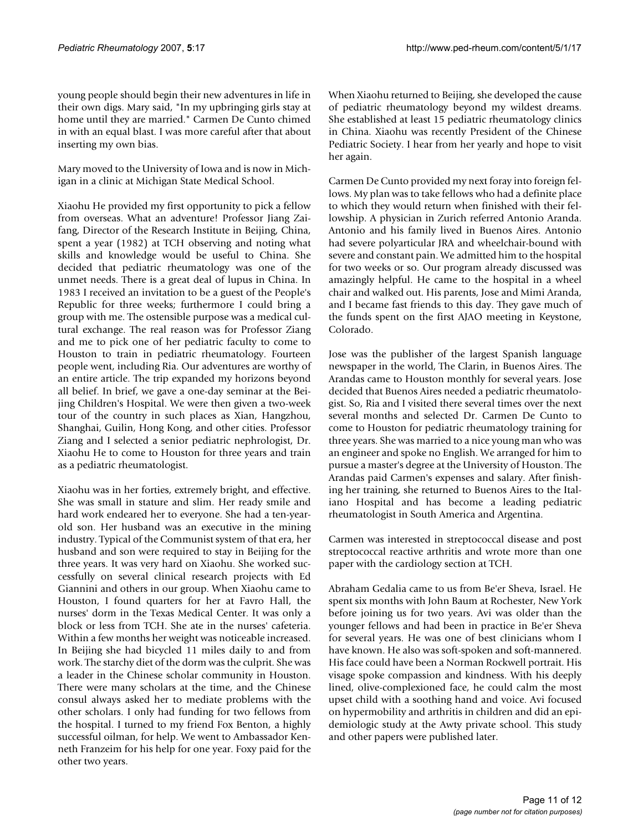young people should begin their new adventures in life in their own digs. Mary said, "In my upbringing girls stay at home until they are married." Carmen De Cunto chimed in with an equal blast. I was more careful after that about inserting my own bias.

Mary moved to the University of Iowa and is now in Michigan in a clinic at Michigan State Medical School.

Xiaohu He provided my first opportunity to pick a fellow from overseas. What an adventure! Professor Jiang Zaifang, Director of the Research Institute in Beijing, China, spent a year (1982) at TCH observing and noting what skills and knowledge would be useful to China. She decided that pediatric rheumatology was one of the unmet needs. There is a great deal of lupus in China. In 1983 I received an invitation to be a guest of the People's Republic for three weeks; furthermore I could bring a group with me. The ostensible purpose was a medical cultural exchange. The real reason was for Professor Ziang and me to pick one of her pediatric faculty to come to Houston to train in pediatric rheumatology. Fourteen people went, including Ria. Our adventures are worthy of an entire article. The trip expanded my horizons beyond all belief. In brief, we gave a one-day seminar at the Beijing Children's Hospital. We were then given a two-week tour of the country in such places as Xian, Hangzhou, Shanghai, Guilin, Hong Kong, and other cities. Professor Ziang and I selected a senior pediatric nephrologist, Dr. Xiaohu He to come to Houston for three years and train as a pediatric rheumatologist.

Xiaohu was in her forties, extremely bright, and effective. She was small in stature and slim. Her ready smile and hard work endeared her to everyone. She had a ten-yearold son. Her husband was an executive in the mining industry. Typical of the Communist system of that era, her husband and son were required to stay in Beijing for the three years. It was very hard on Xiaohu. She worked successfully on several clinical research projects with Ed Giannini and others in our group. When Xiaohu came to Houston, I found quarters for her at Favro Hall, the nurses' dorm in the Texas Medical Center. It was only a block or less from TCH. She ate in the nurses' cafeteria. Within a few months her weight was noticeable increased. In Beijing she had bicycled 11 miles daily to and from work. The starchy diet of the dorm was the culprit. She was a leader in the Chinese scholar community in Houston. There were many scholars at the time, and the Chinese consul always asked her to mediate problems with the other scholars. I only had funding for two fellows from the hospital. I turned to my friend Fox Benton, a highly successful oilman, for help. We went to Ambassador Kenneth Franzeim for his help for one year. Foxy paid for the other two years.

When Xiaohu returned to Beijing, she developed the cause of pediatric rheumatology beyond my wildest dreams. She established at least 15 pediatric rheumatology clinics in China. Xiaohu was recently President of the Chinese Pediatric Society. I hear from her yearly and hope to visit her again.

Carmen De Cunto provided my next foray into foreign fellows. My plan was to take fellows who had a definite place to which they would return when finished with their fellowship. A physician in Zurich referred Antonio Aranda. Antonio and his family lived in Buenos Aires. Antonio had severe polyarticular JRA and wheelchair-bound with severe and constant pain. We admitted him to the hospital for two weeks or so. Our program already discussed was amazingly helpful. He came to the hospital in a wheel chair and walked out. His parents, Jose and Mimi Aranda, and I became fast friends to this day. They gave much of the funds spent on the first AJAO meeting in Keystone, Colorado.

Jose was the publisher of the largest Spanish language newspaper in the world, The Clarin, in Buenos Aires. The Arandas came to Houston monthly for several years. Jose decided that Buenos Aires needed a pediatric rheumatologist. So, Ria and I visited there several times over the next several months and selected Dr. Carmen De Cunto to come to Houston for pediatric rheumatology training for three years. She was married to a nice young man who was an engineer and spoke no English. We arranged for him to pursue a master's degree at the University of Houston. The Arandas paid Carmen's expenses and salary. After finishing her training, she returned to Buenos Aires to the Italiano Hospital and has become a leading pediatric rheumatologist in South America and Argentina.

Carmen was interested in streptococcal disease and post streptococcal reactive arthritis and wrote more than one paper with the cardiology section at TCH.

Abraham Gedalia came to us from Be'er Sheva, Israel. He spent six months with John Baum at Rochester, New York before joining us for two years. Avi was older than the younger fellows and had been in practice in Be'er Sheva for several years. He was one of best clinicians whom I have known. He also was soft-spoken and soft-mannered. His face could have been a Norman Rockwell portrait. His visage spoke compassion and kindness. With his deeply lined, olive-complexioned face, he could calm the most upset child with a soothing hand and voice. Avi focused on hypermobility and arthritis in children and did an epidemiologic study at the Awty private school. This study and other papers were published later.